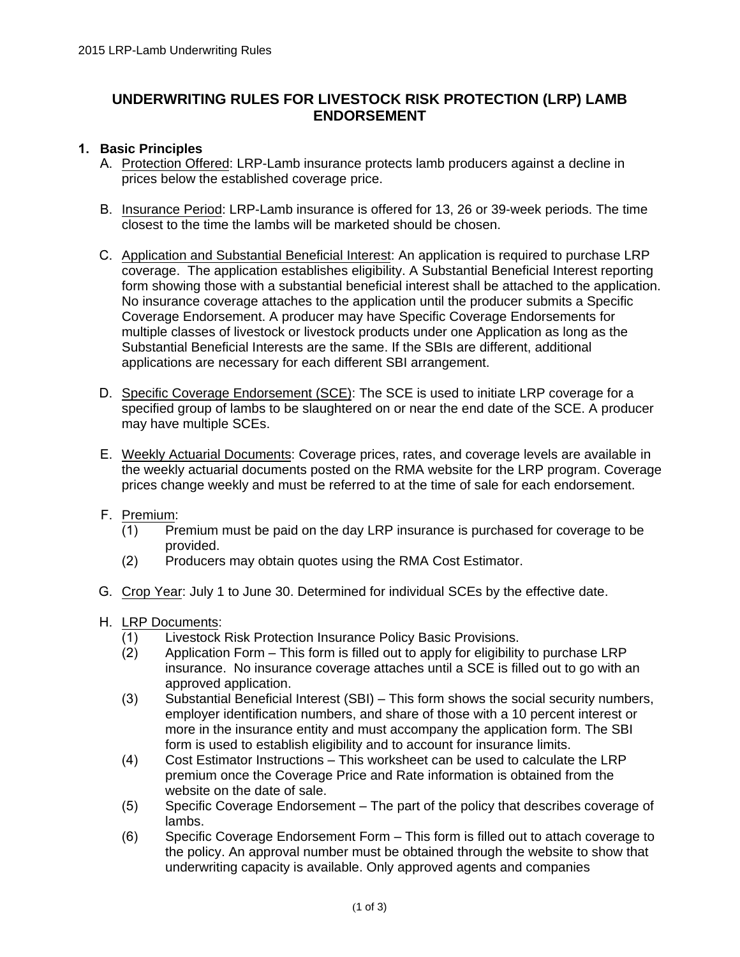# **UNDERWRITING RULES FOR LIVESTOCK RISK PROTECTION (LRP) LAMB ENDORSEMENT**

#### **1. Basic Principles**

- A. Protection Offered: LRP-Lamb insurance protects lamb producers against a decline in prices below the established coverage price.
- B. Insurance Period: LRP-Lamb insurance is offered for 13, 26 or 39-week periods. The time closest to the time the lambs will be marketed should be chosen.
- C. Application and Substantial Beneficial Interest: An application is required to purchase LRP coverage. The application establishes eligibility. A Substantial Beneficial Interest reporting form showing those with a substantial beneficial interest shall be attached to the application. No insurance coverage attaches to the application until the producer submits a Specific Coverage Endorsement. A producer may have Specific Coverage Endorsements for multiple classes of livestock or livestock products under one Application as long as the Substantial Beneficial Interests are the same. If the SBIs are different, additional applications are necessary for each different SBI arrangement.
- D. Specific Coverage Endorsement (SCE): The SCE is used to initiate LRP coverage for a specified group of lambs to be slaughtered on or near the end date of the SCE. A producer may have multiple SCEs.
- E. Weekly Actuarial Documents: Coverage prices, rates, and coverage levels are available in the weekly actuarial documents posted on the RMA website for the LRP program. Coverage prices change weekly and must be referred to at the time of sale for each endorsement.
- F. Premium:
	- (1) Premium must be paid on the day LRP insurance is purchased for coverage to be provided.
	- (2) Producers may obtain quotes using the RMA Cost Estimator.
- G. Crop Year: July 1 to June 30. Determined for individual SCEs by the effective date.
- H. LRP Documents:
	- (1) Livestock Risk Protection Insurance Policy Basic Provisions.
	- (2) Application Form This form is filled out to apply for eligibility to purchase LRP insurance. No insurance coverage attaches until a SCE is filled out to go with an approved application.
	- (3) Substantial Beneficial Interest (SBI) This form shows the social security numbers, employer identification numbers, and share of those with a 10 percent interest or more in the insurance entity and must accompany the application form. The SBI form is used to establish eligibility and to account for insurance limits.
	- (4) Cost Estimator Instructions This worksheet can be used to calculate the LRP premium once the Coverage Price and Rate information is obtained from the website on the date of sale.
	- (5) Specific Coverage Endorsement The part of the policy that describes coverage of lambs.
	- (6) Specific Coverage Endorsement Form This form is filled out to attach coverage to the policy. An approval number must be obtained through the website to show that underwriting capacity is available. Only approved agents and companies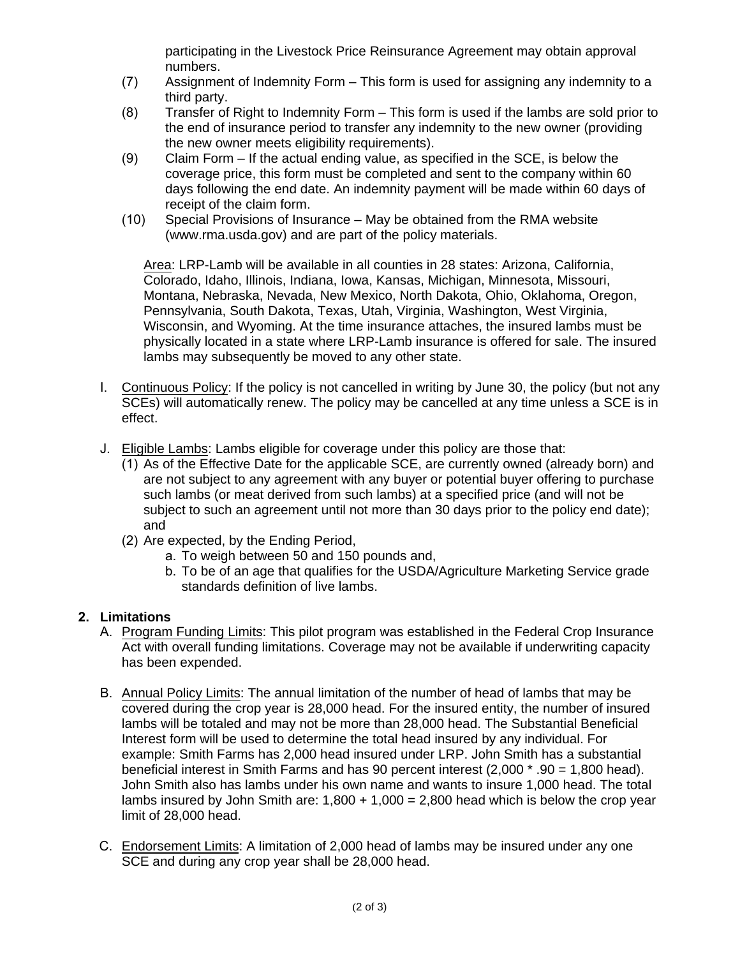participating in the Livestock Price Reinsurance Agreement may obtain approval numbers.

- (7) Assignment of Indemnity Form This form is used for assigning any indemnity to a third party.
- (8) Transfer of Right to Indemnity Form This form is used if the lambs are sold prior to the end of insurance period to transfer any indemnity to the new owner (providing the new owner meets eligibility requirements).
- (9) Claim Form If the actual ending value, as specified in the SCE, is below the coverage price, this form must be completed and sent to the company within 60 days following the end date. An indemnity payment will be made within 60 days of receipt of the claim form.
- (10) Special Provisions of Insurance May be obtained from the RMA website (www.rma.usda.gov) and are part of the policy materials.

Area: LRP-Lamb will be available in all counties in 28 states: Arizona, California, Colorado, Idaho, Illinois, Indiana, Iowa, Kansas, Michigan, Minnesota, Missouri, Montana, Nebraska, Nevada, New Mexico, North Dakota, Ohio, Oklahoma, Oregon, Pennsylvania, South Dakota, Texas, Utah, Virginia, Washington, West Virginia, Wisconsin, and Wyoming. At the time insurance attaches, the insured lambs must be physically located in a state where LRP-Lamb insurance is offered for sale. The insured lambs may subsequently be moved to any other state.

- I. Continuous Policy: If the policy is not cancelled in writing by June 30, the policy (but not any SCEs) will automatically renew. The policy may be cancelled at any time unless a SCE is in effect.
- J. Eligible Lambs: Lambs eligible for coverage under this policy are those that:
	- (1) As of the Effective Date for the applicable SCE, are currently owned (already born) and are not subject to any agreement with any buyer or potential buyer offering to purchase such lambs (or meat derived from such lambs) at a specified price (and will not be subject to such an agreement until not more than 30 days prior to the policy end date); and
	- (2) Are expected, by the Ending Period,
		- a. To weigh between 50 and 150 pounds and,
		- b. To be of an age that qualifies for the USDA/Agriculture Marketing Service grade standards definition of live lambs.

### **2. Limitations**

- A. Program Funding Limits: This pilot program was established in the Federal Crop Insurance Act with overall funding limitations. Coverage may not be available if underwriting capacity has been expended.
- B. Annual Policy Limits: The annual limitation of the number of head of lambs that may be covered during the crop year is 28,000 head. For the insured entity, the number of insured lambs will be totaled and may not be more than 28,000 head. The Substantial Beneficial Interest form will be used to determine the total head insured by any individual. For example: Smith Farms has 2,000 head insured under LRP. John Smith has a substantial beneficial interest in Smith Farms and has 90 percent interest (2,000 \* .90 = 1,800 head). John Smith also has lambs under his own name and wants to insure 1,000 head. The total lambs insured by John Smith are:  $1.800 + 1.000 = 2.800$  head which is below the crop year limit of 28,000 head.
- C. Endorsement Limits: A limitation of 2,000 head of lambs may be insured under any one SCE and during any crop year shall be 28,000 head.